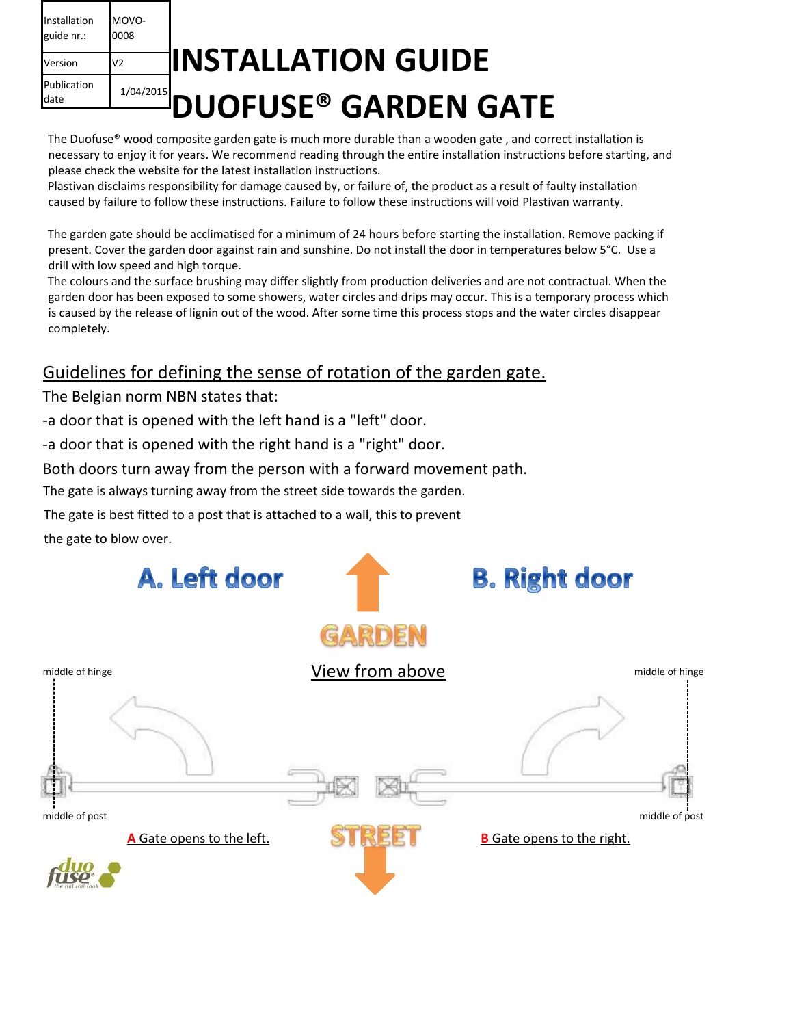| Installation<br>guide nr.: | MOVO-<br>0008 |                            |  |  |
|----------------------------|---------------|----------------------------|--|--|
| Version                    |               | <b>IINSTALLATION GUIDE</b> |  |  |
| Publication<br>date        |               | DUOFUSE® GARDEN GATE       |  |  |
|                            |               |                            |  |  |

The Duofuse® wood composite garden gate is much more durable than a wooden gate , and correct installation is necessary to enjoy it for years. We recommend reading through the entire installation instructions before starting, and please check the website for the latest installation instructions.

Plastivan disclaims responsibility for damage caused by, or failure of, the product as a result of faulty installation caused by failure to follow these instructions. Failure to follow these instructions will void Plastivan warranty.

The garden gate should be acclimatised for a minimum of 24 hours before starting the installation. Remove packing if present. Cover the garden door against rain and sunshine. Do not install the door in temperatures below 5°C. Use a drill with low speed and high torque.

The colours and the surface brushing may differ slightly from production deliveries and are not contractual. When the garden door has been exposed to some showers, water circles and drips may occur. This is a temporary process which is caused by the release of lignin out of the wood. After some time this process stops and the water circles disappear completely.

### Guidelines for defining the sense of rotation of the garden gate.

The Belgian norm NBN states that:

-a door that is opened with the left hand is a "left" door.

-a door that is opened with the right hand is a "right" door.

Both doors turn away from the person with a forward movement path.

The gate is always turning away from the street side towards the garden.

The gate is best fitted to a post that is attached to a wall, this to prevent

the gate to blow over.

| A. Left door              |                 | <b>B. Right door</b>              |  |
|---------------------------|-----------------|-----------------------------------|--|
|                           | GARDEN          |                                   |  |
| middle of hinge           | View from above | middle of hinge                   |  |
| middle of post            |                 | middle of post                    |  |
| A Gate opens to the left. | 33.             | <b>B</b> Gate opens to the right. |  |
|                           |                 |                                   |  |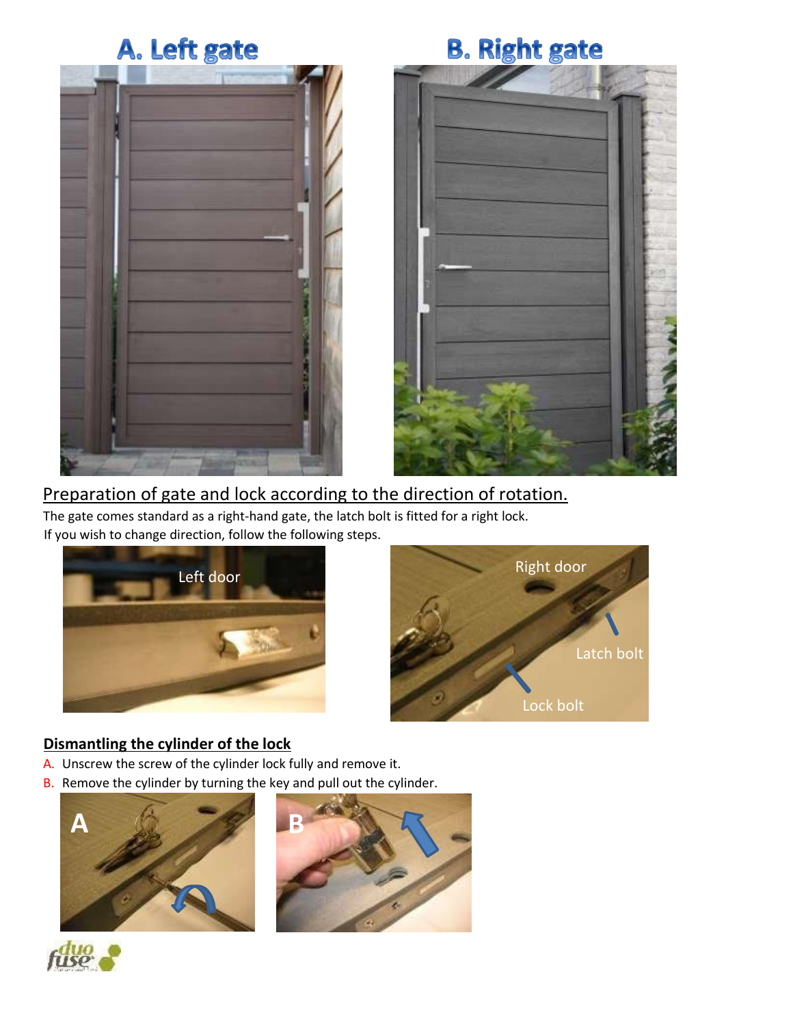



### Preparation of gate and lock according to the direction of rotation.

The gate comes standard as a right-hand gate, the latch bolt is fitted for a right lock. If you wish to change direction, follow the following steps.





### **Dismantling the cylinder of the lock**

- A. Unscrew the screw of the cylinder lock fully and remove it.
- B. Remove the cylinder by turning the key and pull out the cylinder.





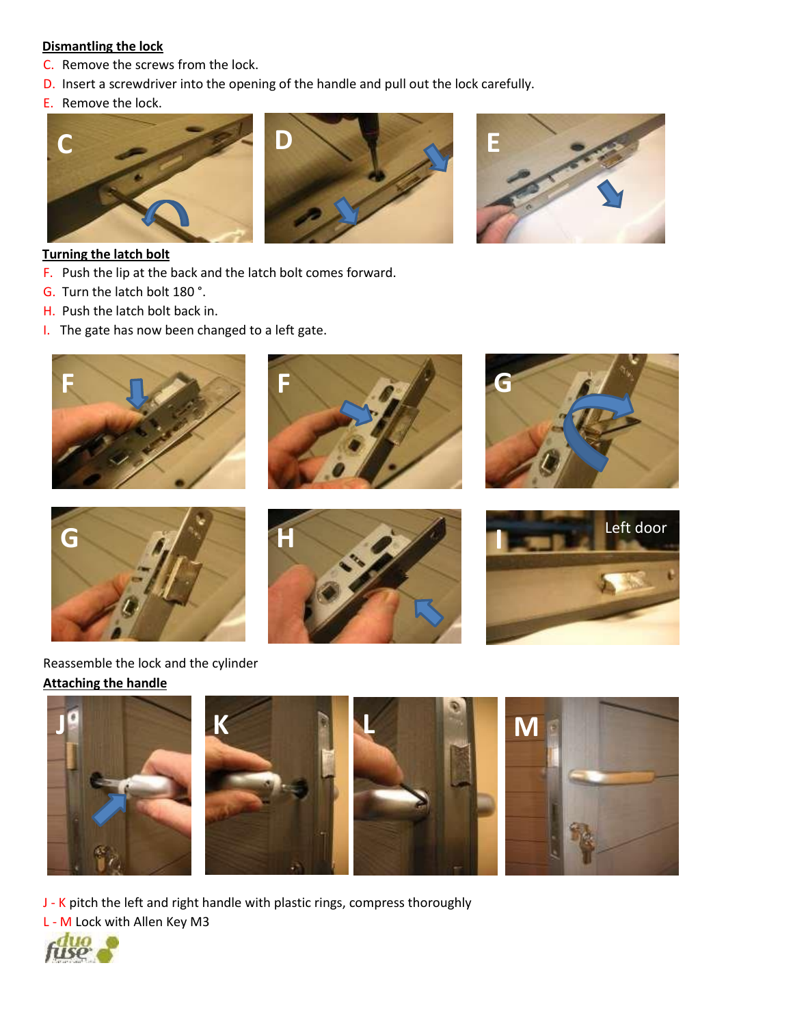#### **Dismantling the lock**

- C. Remove the screws from the lock.
- D. Insert a screwdriver into the opening of the handle and pull out the lock carefully.
- E. Remove the lock.







#### **Turning the latch bolt**

- F. Push the lip at the back and the latch bolt comes forward.
- G. Turn the latch bolt 180 °.
- H. Push the latch bolt back in.
- I. The gate has now been changed to a left gate.









### Reassemble the lock and the cylinder **Attaching the handle**







J - K pitch the left and right handle with plastic rings, compress thoroughly

L - M Lock with Allen Key M3

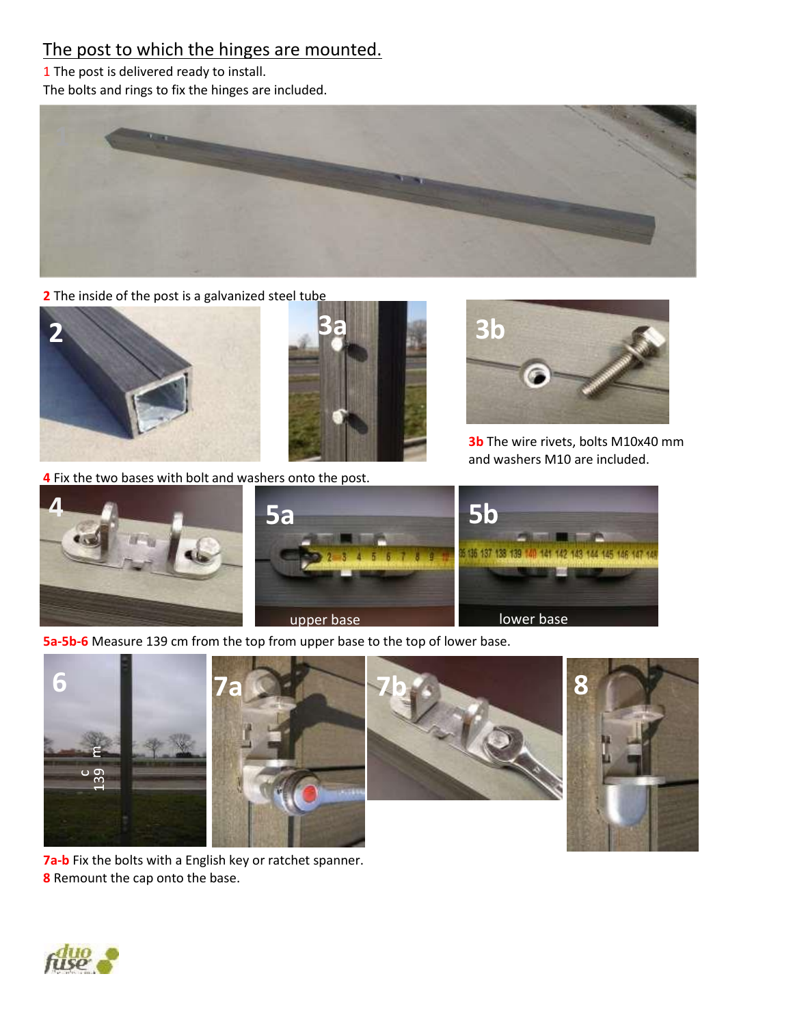## The post to which the hinges are mounted.

1 The post is delivered ready to install.

The bolts and rings to fix the hinges are included.



**2** The inside of the post is a galvanized steel tube





**4** Fix the two bases with bolt and washers onto the post.



**3b** The wire rivets, bolts M10x40 mm and washers M10 are included.



**5a-5b-6** Measure 139 cm from the top from upper base to the top of lower base.







**7a-b** Fix the bolts with a English key or ratchet spanner. **8** Remount the cap onto the base.

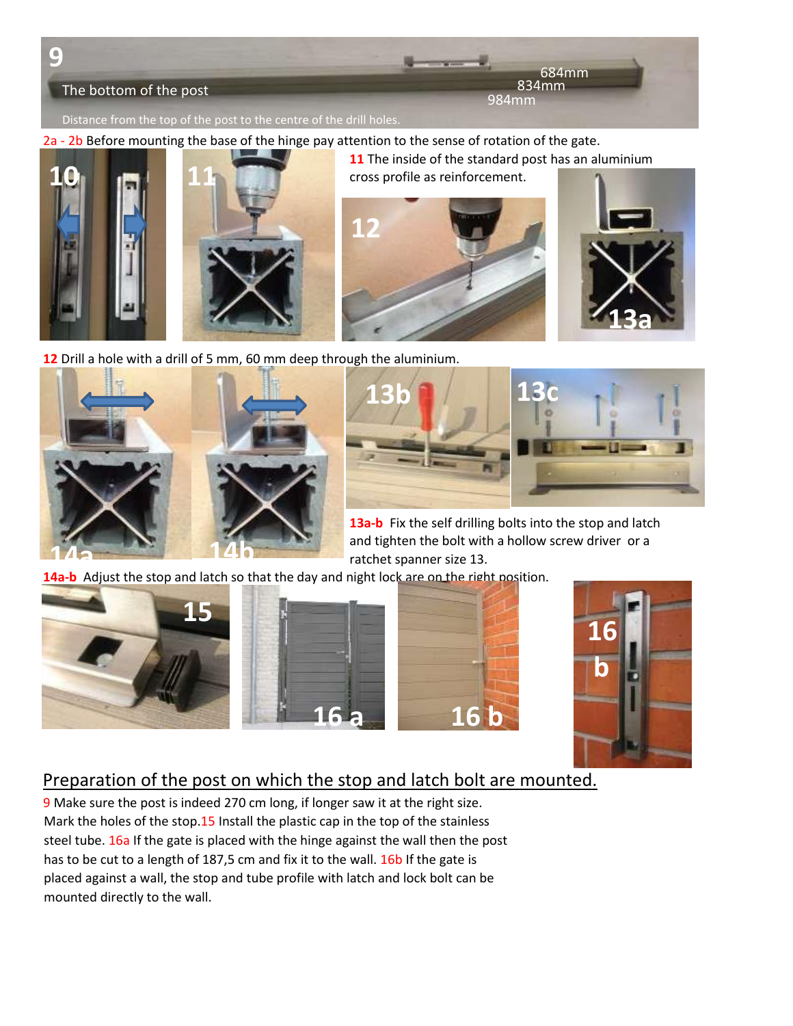

2a - 2b Before mounting the base of the hinge pay attention to the sense of rotation of the gate.





**11** The inside of the standard post has an aluminium cross profile as reinforcement.





**12** Drill a hole with a drill of 5 mm, 60 mm deep through the aluminium.





**13a-b** Fix the self drilling bolts into the stop and latch and tighten the bolt with a hollow screw driver or a ratchet spanner size 13.

**14a-b** Adjust the stop and latch so that the day and night lock are on the right position.









# Preparation of the post on which the stop and latch bolt are mounted.

9 Make sure the post is indeed 270 cm long, if longer saw it at the right size. Mark the holes of the stop.15 Install the plastic cap in the top of the stainless steel tube. 16a If the gate is placed with the hinge against the wall then the post has to be cut to a length of 187,5 cm and fix it to the wall. 16b If the gate is placed against a wall, the stop and tube profile with latch and lock bolt can be mounted directly to the wall.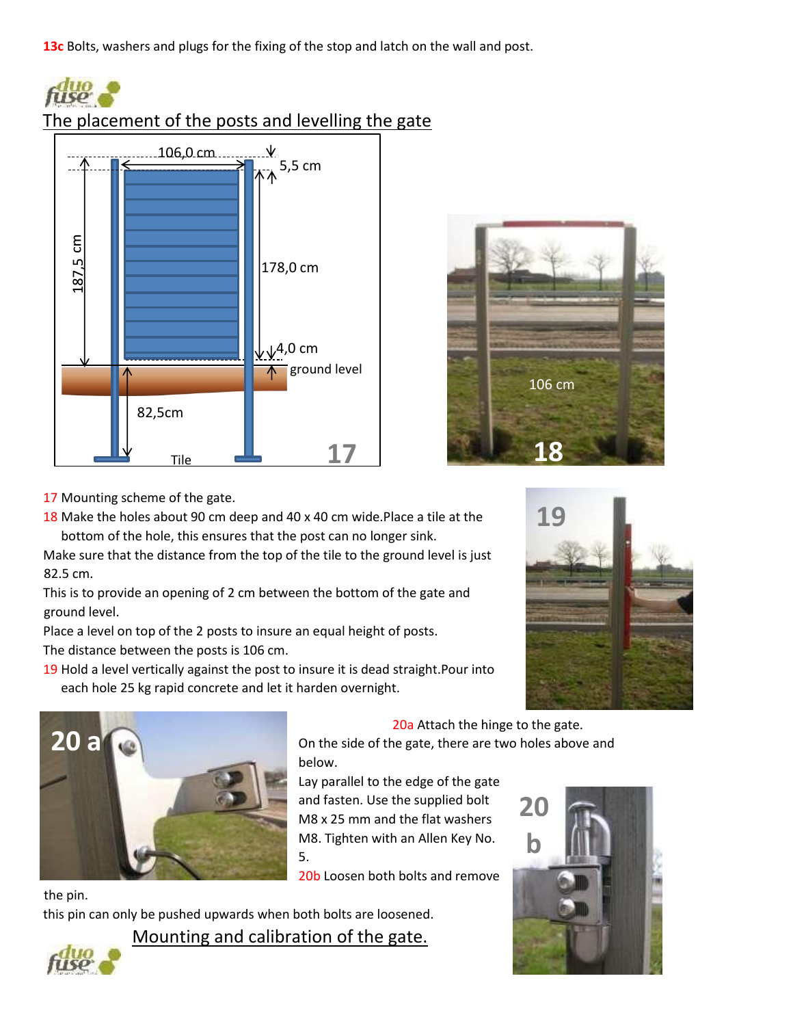**13c** Bolts, washers and plugs for the fixing of the stop and latch on the wall and post.



## The placement of the posts and levelling the gate





17 Mounting scheme of the gate.

18 Make the holes about 90 cm deep and 40 x 40 cm wide.Place a tile at the bottom of the hole, this ensures that the post can no longer sink.

Make sure that the distance from the top of the tile to the ground level is just 82.5 cm.

This is to provide an opening of 2 cm between the bottom of the gate and ground level.

Place a level on top of the 2 posts to insure an equal height of posts.

The distance between the posts is 106 cm.

19 Hold a level vertically against the post to insure it is dead straight.Pour into each hole 25 kg rapid concrete and let it harden overnight.





20a Attach the hinge to the gate.

On the side of the gate, there are two holes above and below.

Lay parallel to the edge of the gate and fasten. Use the supplied bolt M8 x 25 mm and the flat washers M8. Tighten with an Allen Key No. 5.

20b Loosen both bolts and remove

this pin can only be pushed upwards when both bolts are loosened.

Mounting and calibration of the gate.